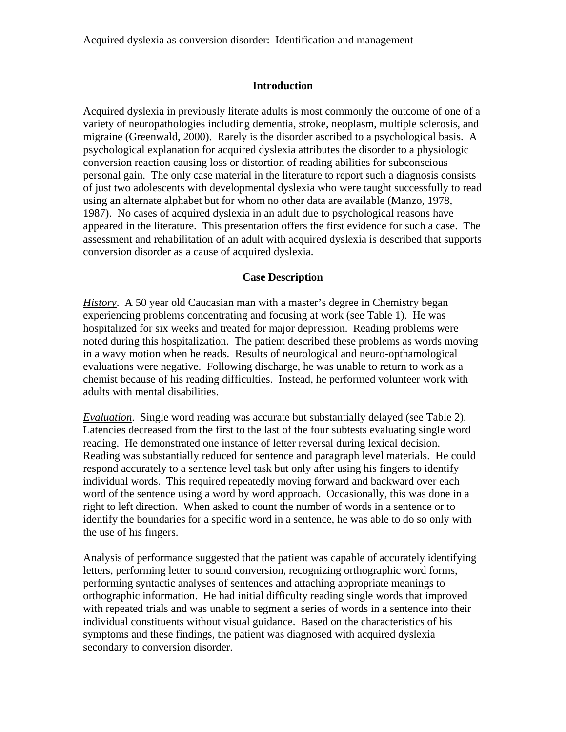# **Introduction**

Acquired dyslexia in previously literate adults is most commonly the outcome of one of a variety of neuropathologies including dementia, stroke, neoplasm, multiple sclerosis, and migraine (Greenwald, 2000). Rarely is the disorder ascribed to a psychological basis. A psychological explanation for acquired dyslexia attributes the disorder to a physiologic conversion reaction causing loss or distortion of reading abilities for subconscious personal gain. The only case material in the literature to report such a diagnosis consists of just two adolescents with developmental dyslexia who were taught successfully to read using an alternate alphabet but for whom no other data are available (Manzo, 1978, 1987). No cases of acquired dyslexia in an adult due to psychological reasons have appeared in the literature. This presentation offers the first evidence for such a case. The assessment and rehabilitation of an adult with acquired dyslexia is described that supports conversion disorder as a cause of acquired dyslexia.

# **Case Description**

*History*. A 50 year old Caucasian man with a master's degree in Chemistry began experiencing problems concentrating and focusing at work (see Table 1). He was hospitalized for six weeks and treated for major depression. Reading problems were noted during this hospitalization. The patient described these problems as words moving in a wavy motion when he reads. Results of neurological and neuro-opthamological evaluations were negative. Following discharge, he was unable to return to work as a chemist because of his reading difficulties. Instead, he performed volunteer work with adults with mental disabilities.

*Evaluation*. Single word reading was accurate but substantially delayed (see Table 2). Latencies decreased from the first to the last of the four subtests evaluating single word reading. He demonstrated one instance of letter reversal during lexical decision. Reading was substantially reduced for sentence and paragraph level materials. He could respond accurately to a sentence level task but only after using his fingers to identify individual words. This required repeatedly moving forward and backward over each word of the sentence using a word by word approach. Occasionally, this was done in a right to left direction. When asked to count the number of words in a sentence or to identify the boundaries for a specific word in a sentence, he was able to do so only with the use of his fingers.

Analysis of performance suggested that the patient was capable of accurately identifying letters, performing letter to sound conversion, recognizing orthographic word forms, performing syntactic analyses of sentences and attaching appropriate meanings to orthographic information. He had initial difficulty reading single words that improved with repeated trials and was unable to segment a series of words in a sentence into their individual constituents without visual guidance. Based on the characteristics of his symptoms and these findings, the patient was diagnosed with acquired dyslexia secondary to conversion disorder.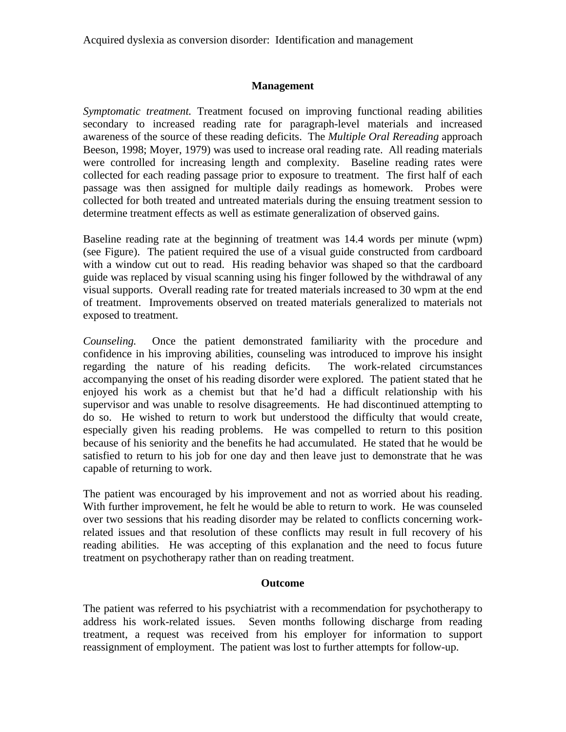# **Management**

*Symptomatic treatment.* Treatment focused on improving functional reading abilities secondary to increased reading rate for paragraph-level materials and increased awareness of the source of these reading deficits. The *Multiple Oral Rereading* approach Beeson, 1998; Moyer, 1979) was used to increase oral reading rate. All reading materials were controlled for increasing length and complexity. Baseline reading rates were collected for each reading passage prior to exposure to treatment. The first half of each passage was then assigned for multiple daily readings as homework. Probes were collected for both treated and untreated materials during the ensuing treatment session to determine treatment effects as well as estimate generalization of observed gains.

Baseline reading rate at the beginning of treatment was 14.4 words per minute (wpm) (see Figure). The patient required the use of a visual guide constructed from cardboard with a window cut out to read. His reading behavior was shaped so that the cardboard guide was replaced by visual scanning using his finger followed by the withdrawal of any visual supports. Overall reading rate for treated materials increased to 30 wpm at the end of treatment. Improvements observed on treated materials generalized to materials not exposed to treatment.

*Counseling.* Once the patient demonstrated familiarity with the procedure and confidence in his improving abilities, counseling was introduced to improve his insight regarding the nature of his reading deficits. The work-related circumstances accompanying the onset of his reading disorder were explored. The patient stated that he enjoyed his work as a chemist but that he'd had a difficult relationship with his supervisor and was unable to resolve disagreements. He had discontinued attempting to do so. He wished to return to work but understood the difficulty that would create, especially given his reading problems. He was compelled to return to this position because of his seniority and the benefits he had accumulated. He stated that he would be satisfied to return to his job for one day and then leave just to demonstrate that he was capable of returning to work.

The patient was encouraged by his improvement and not as worried about his reading. With further improvement, he felt he would be able to return to work. He was counseled over two sessions that his reading disorder may be related to conflicts concerning workrelated issues and that resolution of these conflicts may result in full recovery of his reading abilities. He was accepting of this explanation and the need to focus future treatment on psychotherapy rather than on reading treatment.

#### **Outcome**

The patient was referred to his psychiatrist with a recommendation for psychotherapy to address his work-related issues. Seven months following discharge from reading treatment, a request was received from his employer for information to support reassignment of employment. The patient was lost to further attempts for follow-up.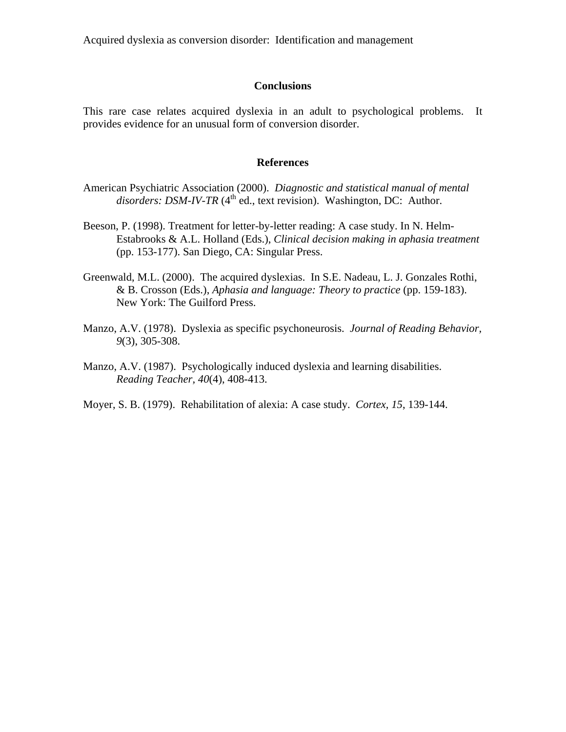#### **Conclusions**

This rare case relates acquired dyslexia in an adult to psychological problems. It provides evidence for an unusual form of conversion disorder.

#### **References**

- American Psychiatric Association (2000). *Diagnostic and statistical manual of mental*  disorders: DSM-IV-TR (4<sup>th</sup> ed., text revision). Washington, DC: Author.
- Beeson, P. (1998). Treatment for letter-by-letter reading: A case study. In N. Helm-Estabrooks & A.L. Holland (Eds.), *Clinical decision making in aphasia treatment* (pp. 153-177). San Diego, CA: Singular Press.
- Greenwald, M.L. (2000). The acquired dyslexias. In S.E. Nadeau, L. J. Gonzales Rothi, & B. Crosson (Eds.), *Aphasia and language: Theory to practice* (pp. 159-183). New York: The Guilford Press.
- Manzo, A.V. (1978). Dyslexia as specific psychoneurosis. *Journal of Reading Behavior, 9*(3), 305-308.
- Manzo, A.V. (1987). Psychologically induced dyslexia and learning disabilities. *Reading Teacher, 40*(4), 408-413.
- Moyer, S. B. (1979). Rehabilitation of alexia: A case study. *Cortex, 15*, 139-144.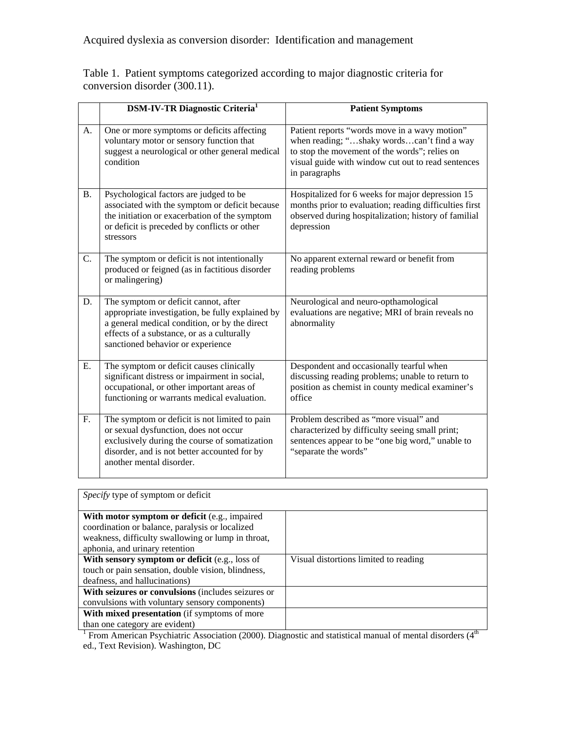Table 1. Patient symptoms categorized according to major diagnostic criteria for conversion disorder (300.11).

|                | <b>DSM-IV-TR Diagnostic Criteria</b> <sup>1</sup>                                                                                                                                                                            | <b>Patient Symptoms</b>                                                                                                                                                                                             |
|----------------|------------------------------------------------------------------------------------------------------------------------------------------------------------------------------------------------------------------------------|---------------------------------------------------------------------------------------------------------------------------------------------------------------------------------------------------------------------|
| A.             | One or more symptoms or deficits affecting<br>voluntary motor or sensory function that<br>suggest a neurological or other general medical<br>condition                                                                       | Patient reports "words move in a wavy motion"<br>when reading; "shaky wordscan't find a way<br>to stop the movement of the words"; relies on<br>visual guide with window cut out to read sentences<br>in paragraphs |
| <b>B.</b>      | Psychological factors are judged to be<br>associated with the symptom or deficit because<br>the initiation or exacerbation of the symptom<br>or deficit is preceded by conflicts or other<br>stressors                       | Hospitalized for 6 weeks for major depression 15<br>months prior to evaluation; reading difficulties first<br>observed during hospitalization; history of familial<br>depression                                    |
| $\mathbf{C}$ . | The symptom or deficit is not intentionally<br>produced or feigned (as in factitious disorder<br>or malingering)                                                                                                             | No apparent external reward or benefit from<br>reading problems                                                                                                                                                     |
| D.             | The symptom or deficit cannot, after<br>appropriate investigation, be fully explained by<br>a general medical condition, or by the direct<br>effects of a substance, or as a culturally<br>sanctioned behavior or experience | Neurological and neuro-opthamological<br>evaluations are negative; MRI of brain reveals no<br>abnormality                                                                                                           |
| Ε.             | The symptom or deficit causes clinically<br>significant distress or impairment in social,<br>occupational, or other important areas of<br>functioning or warrants medical evaluation.                                        | Despondent and occasionally tearful when<br>discussing reading problems; unable to return to<br>position as chemist in county medical examiner's<br>office                                                          |
| F.             | The symptom or deficit is not limited to pain<br>or sexual dysfunction, does not occur<br>exclusively during the course of somatization<br>disorder, and is not better accounted for by<br>another mental disorder.          | Problem described as "more visual" and<br>characterized by difficulty seeing small print;<br>sentences appear to be "one big word," unable to<br>"separate the words"                                               |

| Specify type of symptom or deficit                                                                                                                                                       |                                       |  |  |  |  |
|------------------------------------------------------------------------------------------------------------------------------------------------------------------------------------------|---------------------------------------|--|--|--|--|
| With motor symptom or deficit (e.g., impaired<br>coordination or balance, paralysis or localized<br>weakness, difficulty swallowing or lump in throat,<br>aphonia, and urinary retention |                                       |  |  |  |  |
| With sensory symptom or deficit (e.g., loss of                                                                                                                                           | Visual distortions limited to reading |  |  |  |  |
| touch or pain sensation, double vision, blindness,                                                                                                                                       |                                       |  |  |  |  |
| deafness, and hallucinations)                                                                                                                                                            |                                       |  |  |  |  |
| With seizures or convulsions (includes seizures or                                                                                                                                       |                                       |  |  |  |  |
| convulsions with voluntary sensory components)                                                                                                                                           |                                       |  |  |  |  |
| With mixed presentation (if symptoms of more                                                                                                                                             |                                       |  |  |  |  |
| than one category are evident)                                                                                                                                                           |                                       |  |  |  |  |
| From American Psychiatric Association (2000). Diagnostic and statistical manual of mental disorders $(4th$                                                                               |                                       |  |  |  |  |

ed., Text Revision). Washington, DC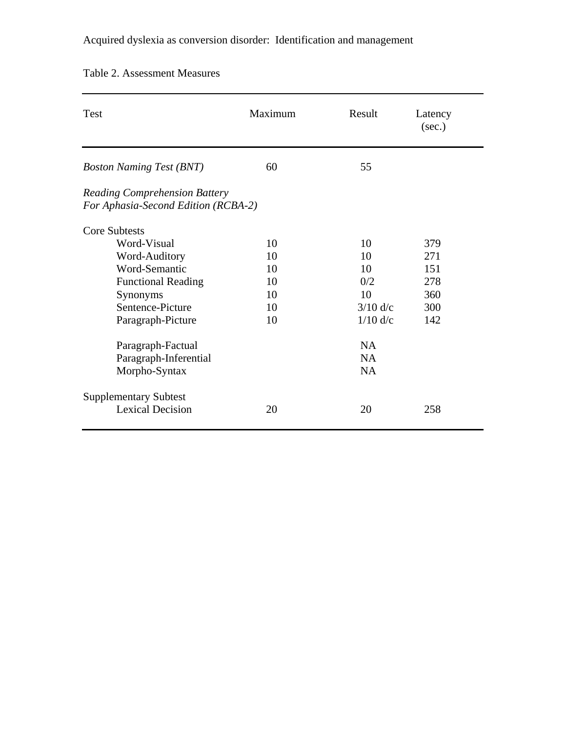| <b>Test</b>                                                                 | Maximum | Result     | Latency<br>(sec.) |
|-----------------------------------------------------------------------------|---------|------------|-------------------|
| <b>Boston Naming Test (BNT)</b>                                             | 60      | 55         |                   |
| <b>Reading Comprehension Battery</b><br>For Aphasia-Second Edition (RCBA-2) |         |            |                   |
| <b>Core Subtests</b>                                                        |         |            |                   |
| Word-Visual                                                                 | 10      | 10         | 379               |
| Word-Auditory                                                               | 10      | 10         | 271               |
| Word-Semantic                                                               | 10      | 10         | 151               |
| <b>Functional Reading</b>                                                   | 10      | 0/2        | 278               |
| Synonyms                                                                    | 10      | 10         | 360               |
| Sentence-Picture                                                            | 10      | $3/10$ d/c | 300               |
| Paragraph-Picture                                                           | 10      | $1/10$ d/c | 142               |
| Paragraph-Factual                                                           |         | <b>NA</b>  |                   |
| Paragraph-Inferential                                                       |         | <b>NA</b>  |                   |
| Morpho-Syntax                                                               |         | <b>NA</b>  |                   |
| <b>Supplementary Subtest</b>                                                |         |            |                   |
| <b>Lexical Decision</b>                                                     | 20      | 20         | 258               |

# Table 2. Assessment Measures